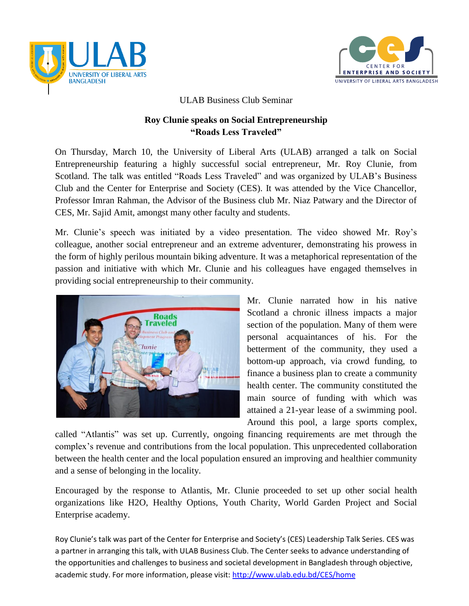



## ULAB Business Club Seminar

## **Roy Clunie speaks on Social Entrepreneurship "Roads Less Traveled"**

On Thursday, March 10, the University of Liberal Arts (ULAB) arranged a talk on Social Entrepreneurship featuring a highly successful social entrepreneur, Mr. Roy Clunie, from Scotland. The talk was entitled "Roads Less Traveled" and was organized by ULAB's Business Club and the Center for Enterprise and Society (CES). It was attended by the Vice Chancellor, Professor Imran Rahman, the Advisor of the Business club Mr. Niaz Patwary and the Director of CES, Mr. Sajid Amit, amongst many other faculty and students.

Mr. Clunie's speech was initiated by a video presentation. The video showed Mr. Roy's colleague, another social entrepreneur and an extreme adventurer, demonstrating his prowess in the form of highly perilous mountain biking adventure. It was a metaphorical representation of the passion and initiative with which Mr. Clunie and his colleagues have engaged themselves in providing social entrepreneurship to their community.



Mr. Clunie narrated how in his native Scotland a chronic illness impacts a major section of the population. Many of them were personal acquaintances of his. For the betterment of the community, they used a bottom-up approach, via crowd funding, to finance a business plan to create a community health center. The community constituted the main source of funding with which was attained a 21-year lease of a swimming pool. Around this pool, a large sports complex,

called "Atlantis" was set up. Currently, ongoing financing requirements are met through the complex's revenue and contributions from the local population. This unprecedented collaboration between the health center and the local population ensured an improving and healthier community and a sense of belonging in the locality.

Encouraged by the response to Atlantis, Mr. Clunie proceeded to set up other social health organizations like H2O, Healthy Options, Youth Charity, World Garden Project and Social Enterprise academy.

Roy Clunie's talk was part of the Center for Enterprise and Society's (CES) Leadership Talk Series. CES was a partner in arranging this talk, with ULAB Business Club. The Center seeks to advance understanding of the opportunities and challenges to business and societal development in Bangladesh through objective, academic study. For more information, please visit: http://www.ulab.edu.bd/CES/home